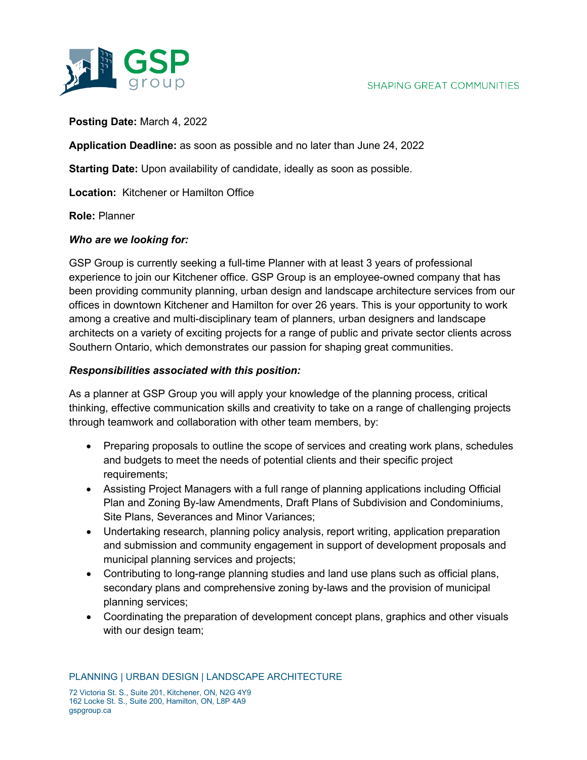

**Posting Date:** March 4, 2022

**Application Deadline:** as soon as possible and no later than June 24, 2022

**Starting Date:** Upon availability of candidate, ideally as soon as possible.

**Location:** Kitchener or Hamilton Office

**Role:** Planner

gspgroup.ca

## *Who are we looking for:*

GSP Group is currently seeking a full-time Planner with at least 3 years of professional experience to join our Kitchener office. GSP Group is an employee-owned company that has been providing community planning, urban design and landscape architecture services from our offices in downtown Kitchener and Hamilton for over 26 years. This is your opportunity to work among a creative and multi-disciplinary team of planners, urban designers and landscape architects on a variety of exciting projects for a range of public and private sector clients across Southern Ontario, which demonstrates our passion for shaping great communities.

## *Responsibilities associated with this position:*

As a planner at GSP Group you will apply your knowledge of the planning process, critical thinking, effective communication skills and creativity to take on a range of challenging projects through teamwork and collaboration with other team members, by:

- Preparing proposals to outline the scope of services and creating work plans, schedules and budgets to meet the needs of potential clients and their specific project requirements;
- Assisting Project Managers with a full range of planning applications including Official Plan and Zoning By-law Amendments, Draft Plans of Subdivision and Condominiums, Site Plans, Severances and Minor Variances;
- Undertaking research, planning policy analysis, report writing, application preparation and submission and community engagement in support of development proposals and municipal planning services and projects;
- Contributing to long-range planning studies and land use plans such as official plans, secondary plans and comprehensive zoning by-laws and the provision of municipal planning services;
- Coordinating the preparation of development concept plans, graphics and other visuals with our design team;